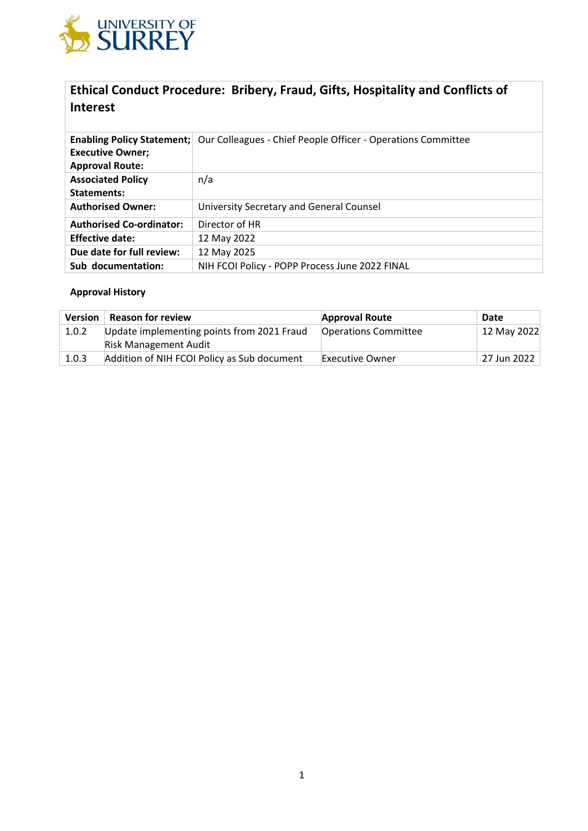

# **Ethical Conduct Procedure: Bribery, Fraud, Gifts, Hospitality and Conflicts of Interest**

|                                 | <b>Enabling Policy Statement;   Our Colleagues - Chief People Officer - Operations Committee</b> |
|---------------------------------|--------------------------------------------------------------------------------------------------|
| <b>Executive Owner;</b>         |                                                                                                  |
| <b>Approval Route:</b>          |                                                                                                  |
| <b>Associated Policy</b>        | n/a                                                                                              |
| Statements:                     |                                                                                                  |
| <b>Authorised Owner:</b>        | University Secretary and General Counsel                                                         |
| <b>Authorised Co-ordinator:</b> | Director of HR                                                                                   |
| <b>Effective date:</b>          | 12 May 2022                                                                                      |
| Due date for full review:       | 12 May 2025                                                                                      |
| Sub documentation:              | NIH FCOI Policy - POPP Process June 2022 FINAL                                                   |

# **Approval History**

| <b>Version</b> | <b>Reason for review</b>                    | <b>Approval Route</b>       | Date        |
|----------------|---------------------------------------------|-----------------------------|-------------|
| 1.0.2          | Update implementing points from 2021 Fraud  | <b>Operations Committee</b> | 12 May 2022 |
|                | <b>Risk Management Audit</b>                |                             |             |
| 1.0.3          | Addition of NIH FCOI Policy as Sub document | <b>Executive Owner</b>      | 27 Jun 2022 |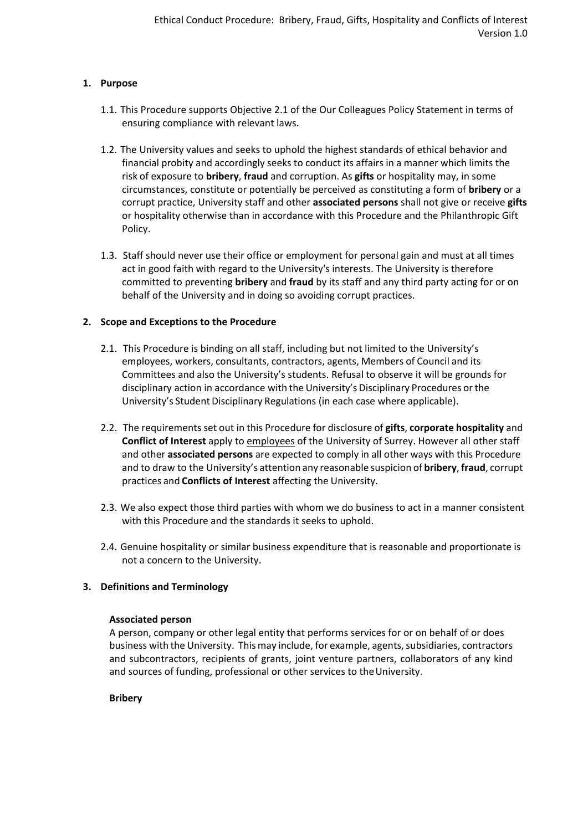# **1. Purpose**

- 1.1. This Procedure supports Objective 2.1 of the Our Colleagues Policy Statement in terms of ensuring compliance with relevant laws.
- 1.2. The University values and seeks to uphold the highest standards of ethical behavior and financial probity and accordingly seeks to conduct its affairs in a manner which limits the risk of exposure to **bribery**, **fraud** and corruption. As **gifts** or hospitality may, in some circumstances, constitute or potentially be perceived as constituting a form of **bribery** or a corrupt practice, University staff and other **associated persons** shall not give or receive **gifts**  or hospitality otherwise than in accordance with this Procedure and the Philanthropic Gift Policy.
- 1.3. Staff should never use their office or employment for personal gain and must at all times act in good faith with regard to the University's interests. The University is therefore committed to preventing **bribery** and **fraud** by its staff and any third party acting for or on behalf of the University and in doing so avoiding corrupt practices.

# **2. Scope and Exceptions to the Procedure**

- 2.1. This Procedure is binding on all staff, including but not limited to the University's employees, workers, consultants, contractors, agents, Members of Council and its Committees and also the University's students. Refusal to observe it will be grounds for disciplinary action in accordance with the University's Disciplinary Procedures or the University's Student Disciplinary Regulations (in each case where applicable).
- 2.2. The requirements set out in this Procedure for disclosure of **gifts**, **corporate hospitality** and **Conflict of Interest** apply to employees of the University of Surrey. However all other staff and other **associated persons** are expected to comply in all other ways with this Procedure and to draw to the University's attention any reasonable suspicion of **bribery**, **fraud**, corrupt practices and **Conflicts of Interest** affecting the University.
- 2.3. We also expect those third parties with whom we do business to act in a manner consistent with this Procedure and the standards it seeks to uphold.
- 2.4. Genuine hospitality or similar business expenditure that is reasonable and proportionate is not a concern to the University.

# **3. Definitions and Terminology**

## **Associated person**

A person, company or other legal entity that performs services for or on behalf of or does business with the University. This may include, for example, agents, subsidiaries, contractors and subcontractors, recipients of grants, joint venture partners, collaborators of any kind and sources of funding, professional or other services to the University.

## **Bribery**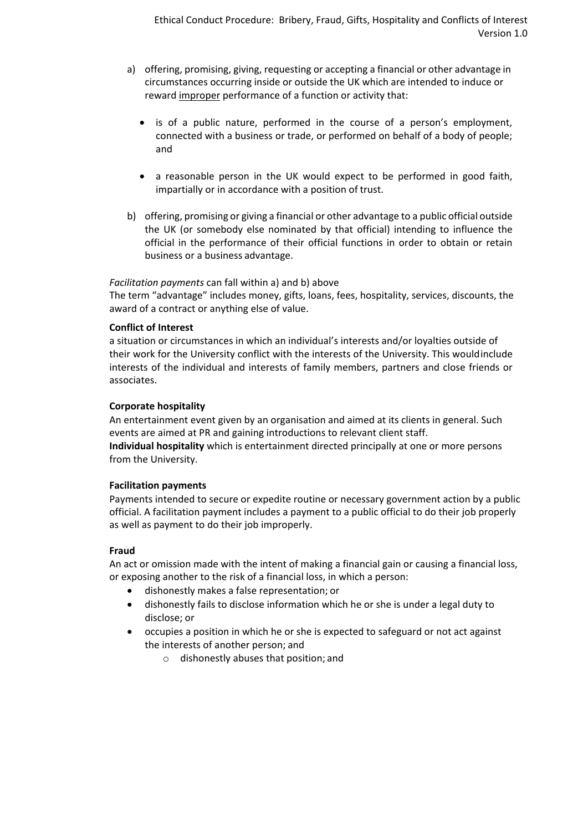- a) offering, promising, giving, requesting or accepting a financial or other advantage in circumstances occurring inside or outside the UK which are intended to induce or reward improper performance of a function or activity that:
	- is of a public nature, performed in the course of a person's employment, connected with a business or trade, or performed on behalf of a body of people; and
	- a reasonable person in the UK would expect to be performed in good faith, impartially or in accordance with a position of trust.
- b) offering, promising or giving a financial or other advantage to a public official outside the UK (or somebody else nominated by that official) intending to influence the official in the performance of their official functions in order to obtain or retain business or a business advantage.

## *Facilitation payments* can fall within a) and b) above

The term "advantage" includes money, gifts, loans, fees, hospitality, services, discounts, the award of a contract or anything else of value.

## **Conflict of Interest**

a situation or circumstances in which an individual's interests and/or loyalties outside of their work for the University conflict with the interests of the University. This wouldinclude interests of the individual and interests of family members, partners and close friends or associates.

## **Corporate hospitality**

An entertainment event given by an organisation and aimed at its clients in general. Such events are aimed at PR and gaining introductions to relevant client staff.

**Individual hospitality** which is entertainment directed principally at one or more persons from the University.

## **Facilitation payments**

Payments intended to secure or expedite routine or necessary government action by a public official. A facilitation payment includes a payment to a public official to do their job properly as well as payment to do their job improperly.

## **Fraud**

An act or omission made with the intent of making a financial gain or causing a financial loss, or exposing another to the risk of a financial loss, in which a person:

- dishonestly makes a false representation; or
- dishonestly fails to disclose information which he or she is under a legal duty to disclose; or
- occupies a position in which he or she is expected to safeguard or not act against the interests of another person; and
	- o dishonestly abuses that position; and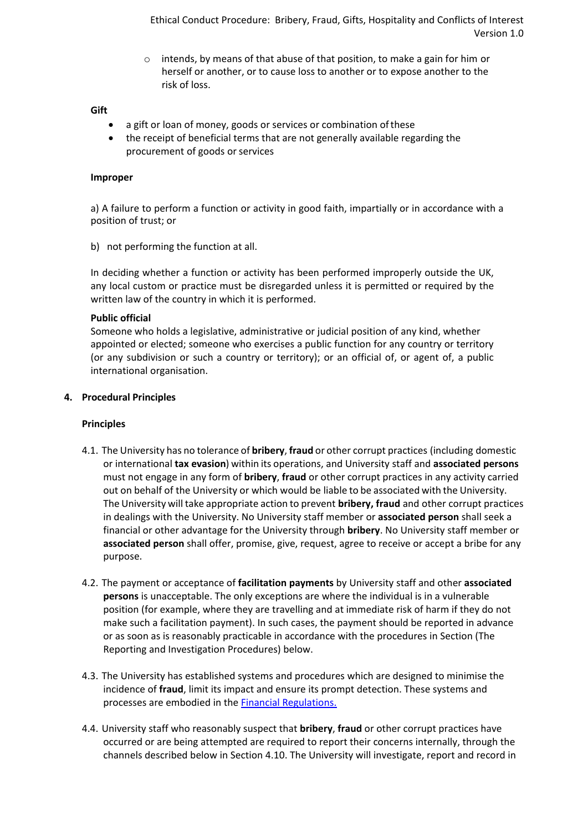Ethical Conduct Procedure: Bribery, Fraud, Gifts, Hospitality and Conflicts of Interest Version 1.0

o intends, by means of that abuse of that position, to make a gain for him or herself or another, or to cause loss to another or to expose another to the risk of loss.

#### **Gift**

- a gift or loan of money, goods or services or combination of these
- the receipt of beneficial terms that are not generally available regarding the procurement of goods or services

#### **Improper**

a) A failure to perform a function or activity in good faith, impartially or in accordance with a position of trust; or

b) not performing the function at all.

In deciding whether a function or activity has been performed improperly outside the UK, any local custom or practice must be disregarded unless it is permitted or required by the written law of the country in which it is performed.

#### **Public official**

Someone who holds a legislative, administrative or judicial position of any kind, whether appointed or elected; someone who exercises a public function for any country or territory (or any subdivision or such a country or territory); or an official of, or agent of, a public international organisation.

#### **4. Procedural Principles**

## **Principles**

- 4.1. The University has no tolerance of **bribery**, **fraud** or other corrupt practices (including domestic or international **tax evasion**) within its operations, and University staff and **associated persons**  must not engage in any form of **bribery**, **fraud** or other corrupt practices in any activity carried out on behalf of the University or which would be liable to be associated with the University. The University will take appropriate action to prevent **bribery, fraud** and other corrupt practices in dealings with the University. No University staff member or **associated person** shall seek a financial or other advantage for the University through **bribery**. No University staff member or **associated person** shall offer, promise, give, request, agree to receive or accept a bribe for any purpose.
- 4.2. The payment or acceptance of **facilitation payments** by University staff and other **associated persons** is unacceptable. The only exceptions are where the individual is in a vulnerable position (for example, where they are travelling and at immediate risk of harm if they do not make such a facilitation payment). In such cases, the payment should be reported in advance or as soon as is reasonably practicable in accordance with the procedures in Section (The Reporting and Investigation Procedures) below.
- 4.3. The University has established systems and procedures which are designed to minimise the incidence of **fraud**, limit its impact and ensure its prompt detection. These systems and processes are embodied in the **Financial Regulations**.
- 4.4. University staff who reasonably suspect that **bribery**, **fraud** or other corrupt practices have occurred or are being attempted are required to report their concerns internally, through the channels described below in Section [4.10.](#page-4-0) The University will investigate, report and record in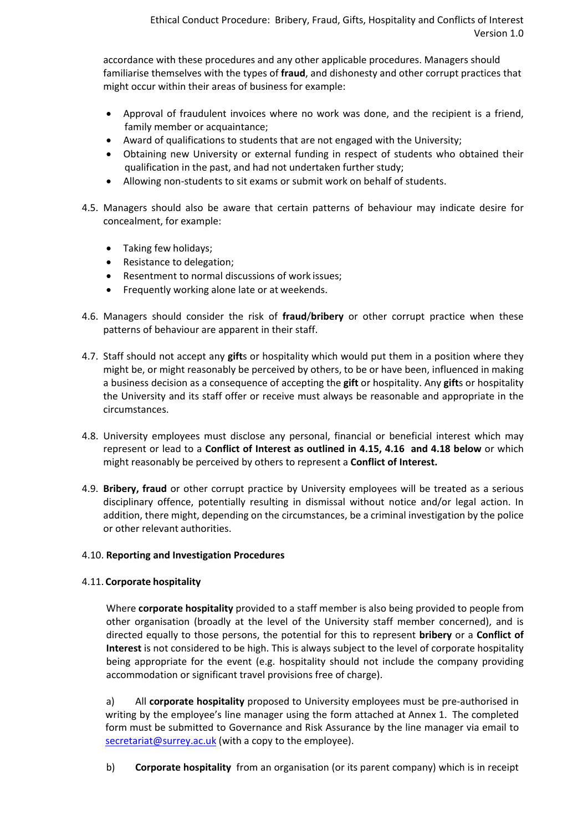accordance with these procedures and any other applicable procedures. Managers should familiarise themselves with the types of **fraud**, and dishonesty and other corrupt practices that might occur within their areas of business for example:

- Approval of fraudulent invoices where no work was done, and the recipient is a friend, family member or acquaintance;
- Award of qualifications to students that are not engaged with the University;
- Obtaining new University or external funding in respect of students who obtained their qualification in the past, and had not undertaken further study;
- Allowing non-students to sit exams or submit work on behalf of students.
- 4.5. Managers should also be aware that certain patterns of behaviour may indicate desire for concealment, for example:
	- Taking few holidays;
	- Resistance to delegation;
	- Resentment to normal discussions of work issues;
	- Frequently working alone late or at weekends.
- 4.6. Managers should consider the risk of **fraud**/**bribery** or other corrupt practice when these patterns of behaviour are apparent in their staff.
- 4.7. Staff should not accept any **gift**s or hospitality which would put them in a position where they might be, or might reasonably be perceived by others, to be or have been, influenced in making a business decision as a consequence of accepting the **gift** or hospitality. Any **gift**s or hospitality the University and its staff offer or receive must always be reasonable and appropriate in the circumstances.
- 4.8. University employees must disclose any personal, financial or beneficial interest which may represent or lead to a **Conflict of Interest as outlined in [4.15,](#page-6-0) [4.16](#page-6-1) and [4.18](#page-7-0) below** or which might reasonably be perceived by others to represent a **Conflict of Interest.**
- 4.9. **Bribery, fraud** or other corrupt practice by University employees will be treated as a serious disciplinary offence, potentially resulting in dismissal without notice and/or legal action. In addition, there might, depending on the circumstances, be a criminal investigation by the police or other relevant authorities.

# <span id="page-4-0"></span>4.10. **Reporting and Investigation Procedures**

# <span id="page-4-1"></span>4.11. **Corporate hospitality**

 Where **corporate hospitality** provided to a staff member is also being provided to people from other organisation (broadly at the level of the University staff member concerned), and is directed equally to those persons, the potential for this to represent **bribery** or a **Conflict of Interest** is not considered to be high. This is always subject to the level of corporate hospitality being appropriate for the event (e.g. hospitality should not include the company providing accommodation or significant travel provisions free of charge).

a) All **corporate hospitality** proposed to University employees must be pre-authorised in writing by the employee's line manager using the form attached at Annex 1. The completed form must be submitted to Governance and Risk Assurance by the line manager via email t[o](mailto:secretariat@surrey.ac.uk) [secretariat@surrey.ac.uk](mailto:secretariat@surrey.ac.uk) (with a copy to the employee).

b) **Corporate hospitality** from an organisation (or its parent company) which is in receipt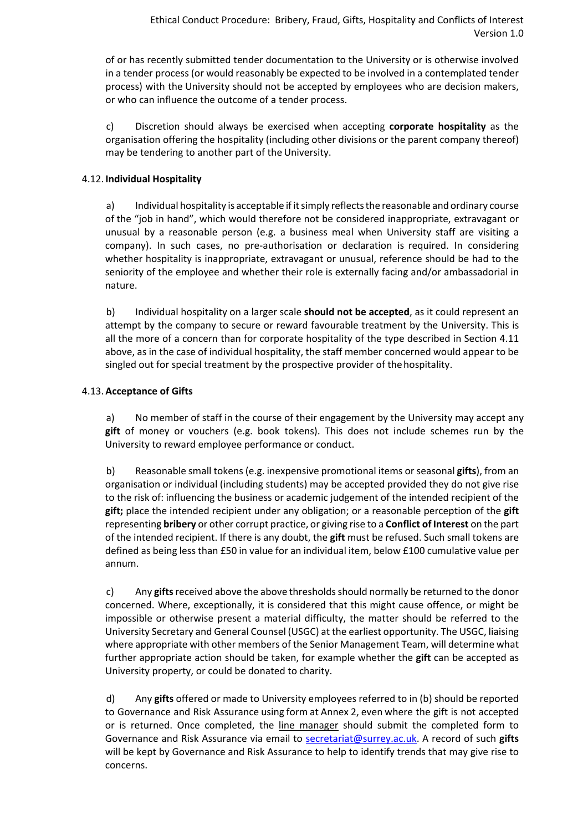of or has recently submitted tender documentation to the University or is otherwise involved in a tender process (or would reasonably be expected to be involved in a contemplated tender process) with the University should not be accepted by employees who are decision makers, or who can influence the outcome of a tender process.

c) Discretion should always be exercised when accepting **corporate hospitality** as the organisation offering the hospitality (including other divisions or the parent company thereof) may be tendering to another part of the University.

# <span id="page-5-2"></span>4.12. **Individual Hospitality**

a) Individual hospitality is acceptable if it simply reflects the reasonable and ordinary course of the "job in hand", which would therefore not be considered inappropriate, extravagant or unusual by a reasonable person (e.g. a business meal when University staff are visiting a company). In such cases, no pre-authorisation or declaration is required. In considering whether hospitality is inappropriate, extravagant or unusual, reference should be had to the seniority of the employee and whether their role is externally facing and/or ambassadorial in nature.

b) Individual hospitality on a larger scale **should not be accepted**, as it could represent an attempt by the company to secure or reward favourable treatment by the University. This is all the more of a concern than for corporate hospitality of the type described in Section [4.11](#page-4-1)  above, as in the case of individual hospitality, the staff member concerned would appear to be singled out for special treatment by the prospective provider of the hospitality.

# <span id="page-5-0"></span>4.13.**Acceptance of Gifts**

a) No member of staff in the course of their engagement by the University may accept any **gift** of money or vouchers (e.g. book tokens). This does not include schemes run by the University to reward employee performance or conduct.

<span id="page-5-1"></span>b) Reasonable small tokens (e.g. inexpensive promotional items or seasonal **gifts**), from an organisation or individual (including students) may be accepted provided they do not give rise to the risk of: influencing the business or academic judgement of the intended recipient of the **gift;** place the intended recipient under any obligation; or a reasonable perception of the **gift**  representing **bribery** or other corrupt practice, or giving rise to a **Conflict of Interest** on the part of the intended recipient. If there is any doubt, the **gift** must be refused. Such small tokens are defined as being less than £50 in value for an individual item, below £100 cumulative value per annum.

c) Any **gifts** received above the above thresholds should normally be returned to the donor concerned. Where, exceptionally, it is considered that this might cause offence, or might be impossible or otherwise present a material difficulty, the matter should be referred to the University Secretary and General Counsel (USGC) at the earliest opportunity. The USGC, liaising where appropriate with other members of the Senior Management Team, will determine what further appropriate action should be taken, for example whether the **gift** can be accepted as University property, or could be donated to charity.

d) Any **gifts** offered or made to University employees referred to in (b) should be reported to Governance and Risk Assurance using form at Annex 2, even where the gift is not accepted or is returned. Once completed, the line manager should submit the completed form to Governance and Risk Assurance via email to [secretariat@surrey.ac.uk.](mailto:secretariat@surrey.ac.uk) A record of such **gifts**  will be kept by Governance and Risk Assurance to help to identify trends that may give rise to concerns.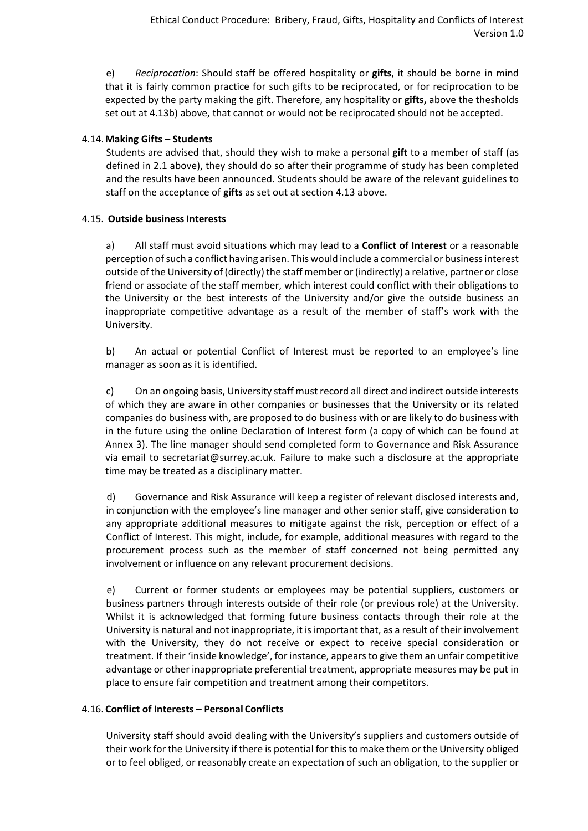e) *Reciprocation*: Should staff be offered hospitality or **gifts**, it should be borne in mind that it is fairly common practice for such gifts to be reciprocated, or for reciprocation to be expected by the party making the gift. Therefore, any hospitality or **gifts,** above the thesholds set out a[t 4.13](#page-5-0)[b\)](#page-5-1) above, that cannot or would not be reciprocated should not be accepted.

# 4.14.**Making Gifts – Students**

Students are advised that, should they wish to make a personal **gift** to a member of staff (as defined in 2.1 above), they should do so after their programme of study has been completed and the results have been announced. Students should be aware of the relevant guidelines to staff on the acceptance of **gifts** as set out at section [4.13](#page-5-0) above.

# <span id="page-6-0"></span>4.15. **Outside businessInterests**

a) All staff must avoid situations which may lead to a **Conflict of Interest** or a reasonable perception of such a conflict having arisen. This would include a commercial or business interest outside of the University of (directly) the staff member or(indirectly) a relative, partner or close friend or associate of the staff member, which interest could conflict with their obligations to the University or the best interests of the University and/or give the outside business an inappropriate competitive advantage as a result of the member of staff's work with the University.

b) An actual or potential Conflict of Interest must be reported to an employee's line manager as soon as it is identified.

c) On an ongoing basis, University staff must record all direct and indirect outside interests of which they are aware in other companies or businesses that the University or its related companies do business with, are proposed to do business with or are likely to do business with in the future using the online [Declaration of Interest f](https://www.surrey.ac.uk/surreynet/departments/secretariat/ethical-conduct/declaration/)orm (a copy of which can be found at Annex 3). The line manager should send completed form to Governance and Risk Assurance via email to [secretariat@surrey.ac.uk.](mailto:secretariat@surrey.ac.uk) Failure to make such a disclosure at the appropriate time may be treated as a disciplinary matter.

d) Governance and Risk Assurance will keep a register of relevant disclosed interests and, in conjunction with the employee's line manager and other senior staff, give consideration to any appropriate additional measures to mitigate against the risk, perception or effect of a Conflict of Interest. This might, include, for example, additional measures with regard to the procurement process such as the member of staff concerned not being permitted any involvement or influence on any relevant procurement decisions.

e) Current or former students or employees may be potential suppliers, customers or business partners through interests outside of their role (or previous role) at the University. Whilst it is acknowledged that forming future business contacts through their role at the University is natural and not inappropriate, it is important that, as a result of their involvement with the University, they do not receive or expect to receive special consideration or treatment. If their 'inside knowledge', for instance, appearsto give them an unfair competitive advantage or other inappropriate preferential treatment, appropriate measures may be put in place to ensure fair competition and treatment among their competitors.

# <span id="page-6-1"></span>4.16. **Conflict of Interests – Personal Conflicts**

University staff should avoid dealing with the University's suppliers and customers outside of their work for the University if there is potential for thisto make them or the University obliged or to feel obliged, or reasonably create an expectation of such an obligation, to the supplier or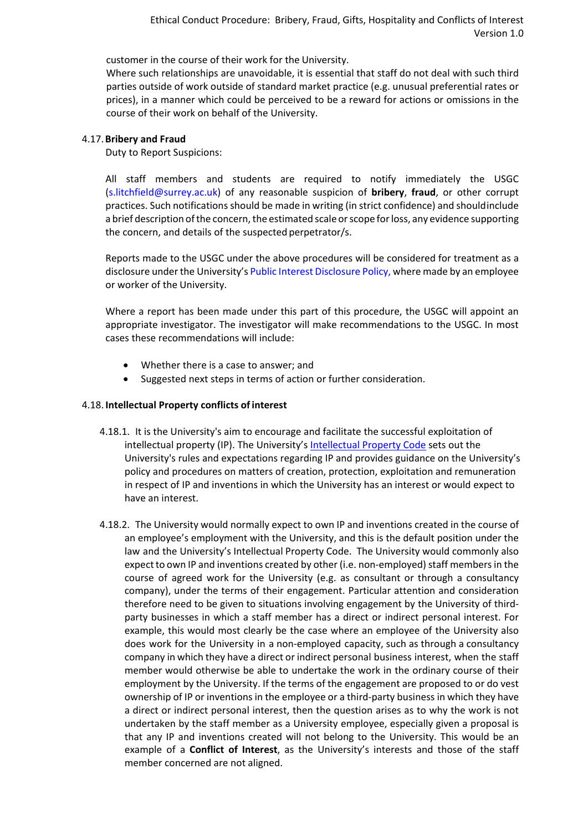customer in the course of their work for the University.

Where such relationships are unavoidable, it is essential that staff do not deal with such third parties outside of work outside of standard market practice (e.g. unusual preferential rates or prices), in a manner which could be perceived to be a reward for actions or omissions in the course of their work on behalf of the University.

# 4.17.**Bribery and Fraud**

Duty to Report Suspicions:

All staff members and students are required to notify immediately the USGC [\(s.litchfield@surrey.ac.uk\)](mailto:s.litchfield@surrey.ac.uk) of any reasonable suspicion of **bribery**, **fraud**, or other corrupt practices. Such notifications should be made in writing (in strict confidence) and should include a brief description of the concern, the estimated scale or scope for loss, any evidence supporting the concern, and details of the suspected perpetrator/s.

Reports made to the USGC under the above procedures will be considered for treatment as a disclosure under the University's [Public Interest Disclosure Policy, w](http://www.surrey.ac.uk/about/corporate/policies/public_interest_disclosure_whistleblowing_policy.htm)here made by an employee or worker of the University.

Where a report has been made under this part of this procedure, the USGC will appoint an appropriate investigator. The investigator will make recommendations to the USGC. In most cases these recommendations will include:

- Whether there is a case to answer; and
- Suggested next steps in terms of action or further consideration.

# <span id="page-7-0"></span>4.18. **Intellectual Property conflicts of interest**

- 4.18.1. It is the University's aim to encourage and facilitate the successful exploitation of intellectual property (IP). The University's [Intellectual Property Code](https://www.surrey.ac.uk/sites/default/files/intellectual-property-code.pdf) sets out the University's rules and expectations regarding IP and provides guidance on the University's policy and procedures on matters of creation, protection, exploitation and remuneration in respect of IP and inventions in which the University has an interest or would expect to have an interest.
- 4.18.2. The University would normally expect to own IP and inventions created in the course of an employee's employment with the University, and this is the default position under the law and the University's Intellectual Property Code. The University would commonly also expect to own IP and inventions created by other (i.e. non-employed) staff members in the course of agreed work for the University (e.g. as consultant or through a consultancy company), under the terms of their engagement. Particular attention and consideration therefore need to be given to situations involving engagement by the University of thirdparty businesses in which a staff member has a direct or indirect personal interest. For example, this would most clearly be the case where an employee of the University also does work for the University in a non-employed capacity, such as through a consultancy company in which they have a direct or indirect personal business interest, when the staff member would otherwise be able to undertake the work in the ordinary course of their employment by the University. If the terms of the engagement are proposed to or do vest ownership of IP or inventions in the employee or a third-party business in which they have a direct or indirect personal interest, then the question arises as to why the work is not undertaken by the staff member as a University employee, especially given a proposal is that any IP and inventions created will not belong to the University. This would be an example of a **Conflict of Interest**, as the University's interests and those of the staff member concerned are not aligned.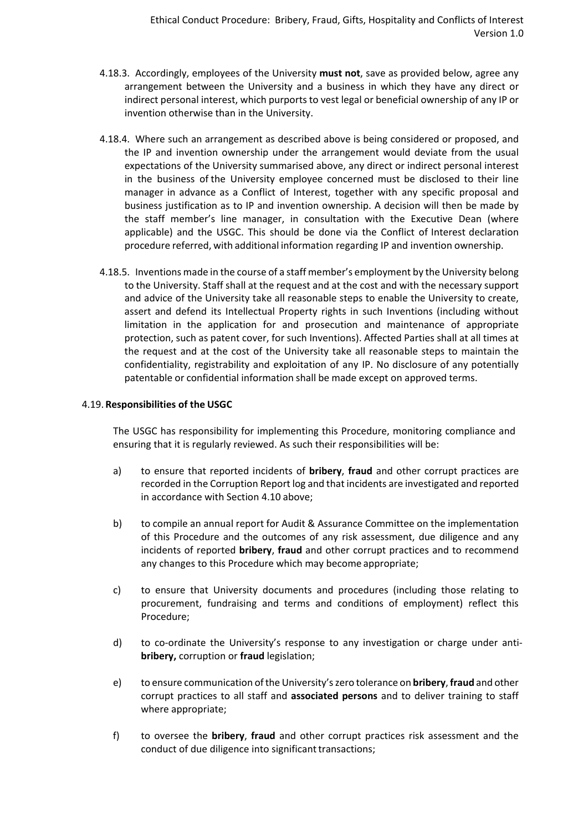- 4.18.3. Accordingly, employees of the University **must not**, save as provided below, agree any arrangement between the University and a business in which they have any direct or indirect personal interest, which purports to vest legal or beneficial ownership of any IP or invention otherwise than in the University.
- 4.18.4. Where such an arrangement as described above is being considered or proposed, and the IP and invention ownership under the arrangement would deviate from the usual expectations of the University summarised above, any direct or indirect personal interest in the business of the University employee concerned must be disclosed to their line manager in advance as a Conflict of Interest, together with any specific proposal and business justification as to IP and invention ownership. A decision will then be made by the staff member's line manager, in consultation with the Executive Dean (where applicable) and the USGC. This should be done via the Conflict of Interest declaration procedure referred, with additional information regarding IP and invention ownership.
- 4.18.5. Inventions made in the course of a staff member's employment by the University belong to the University. Staff shall at the request and at the cost and with the necessary support and advice of the University take all reasonable steps to enable the University to create, assert and defend its Intellectual Property rights in such Inventions (including without limitation in the application for and prosecution and maintenance of appropriate protection, such as patent cover, for such Inventions). Affected Parties shall at all times at the request and at the cost of the University take all reasonable steps to maintain the confidentiality, registrability and exploitation of any IP. No disclosure of any potentially patentable or confidential information shall be made except on approved terms.

# 4.19. **Responsibilities of the USGC**

The USGC has responsibility for implementing this Procedure, monitoring compliance and ensuring that it is regularly reviewed. As such their responsibilities will be:

- a) to ensure that reported incidents of **bribery**, **fraud** and other corrupt practices are recorded in the Corruption Report log and that incidents are investigated and reported in accordance with Section [4.10](#page-4-0) above;
- b) to compile an annual report for Audit & Assurance Committee on the implementation of this Procedure and the outcomes of any risk assessment, due diligence and any incidents of reported **bribery**, **fraud** and other corrupt practices and to recommend any changes to this Procedure which may become appropriate;
- c) to ensure that University documents and procedures (including those relating to procurement, fundraising and terms and conditions of employment) reflect this Procedure;
- d) to co-ordinate the University's response to any investigation or charge under anti**bribery,** corruption or **fraud** legislation;
- e) to ensure communication ofthe University'szero tolerance on **bribery**, **fraud** and other corrupt practices to all staff and **associated persons** and to deliver training to staff where appropriate;
- f) to oversee the **bribery**, **fraud** and other corrupt practices risk assessment and the conduct of due diligence into significant transactions;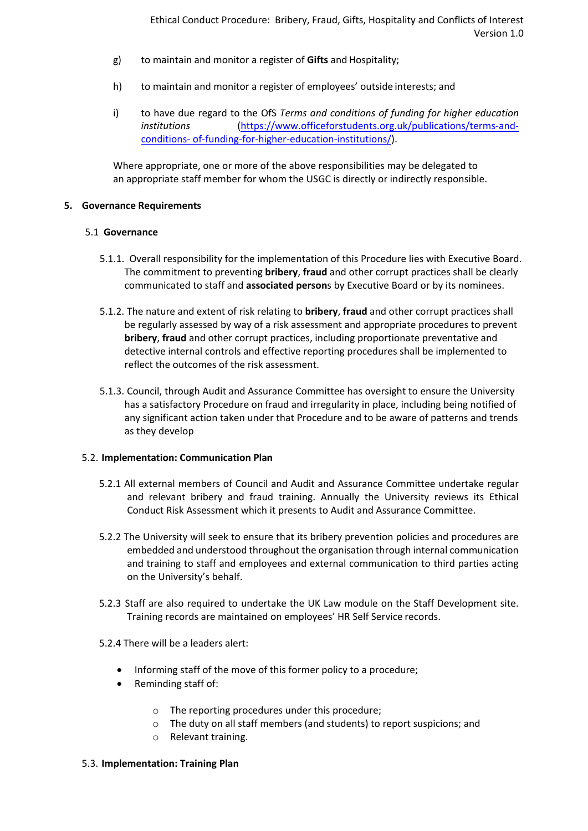- g) to maintain and monitor a register of **Gifts** and Hospitality;
- h) to maintain and monitor a register of employees' outside interests; and
- i) to have due regard to the OfS *Terms and conditions of funding for higher education institutions* [\(https://www.officeforstudents.org.uk/publications/terms-and](https://www.officeforstudents.org.uk/publications/terms-and-conditions-of-funding-for-higher-education-institutions/)[conditions-](https://www.officeforstudents.org.uk/publications/terms-and-conditions-of-funding-for-higher-education-institutions/) [of-funding-for-higher-education-institutions/\)](https://www.officeforstudents.org.uk/publications/terms-and-conditions-of-funding-for-higher-education-institutions/).

Where appropriate, one or more of the above responsibilities may be delegated to an appropriate staff member for whom the USGC is directly or indirectly responsible.

## **5. Governance Requirements**

## 5.1 **Governance**

- 5.1.1.Overall responsibility for the implementation of this Procedure lies with Executive Board. The commitment to preventing **bribery**, **fraud** and other corrupt practices shall be clearly communicated to staff and **associated person**s by Executive Board or by its nominees.
- 5.1.2. The nature and extent of risk relating to **bribery**, **fraud** and other corrupt practices shall be regularly assessed by way of a risk assessment and appropriate procedures to prevent **bribery**, **fraud** and other corrupt practices, including proportionate preventative and detective internal controls and effective reporting procedures shall be implemented to reflect the outcomes of the risk assessment.
- 5.1.3. Council, through Audit and Assurance Committee has oversight to ensure the University has a satisfactory Procedure on fraud and irregularity in place, including being notified of any significant action taken under that Procedure and to be aware of patterns and trends as they develop

# 5.2. **Implementation: Communication Plan**

- 5.2.1 All external members of Council and Audit and Assurance Committee undertake regular and relevant bribery and fraud training. Annually the University reviews its Ethical Conduct Risk Assessment which it presents to Audit and Assurance Committee.
- 5.2.2 The University will seek to ensure that its bribery prevention policies and procedures are embedded and understood throughout the organisation through internal communication and training to staff and employees and external communication to third parties acting on the University's behalf.
- 5.2.3 Staff are also required to undertake the UK Law module on the Staff Development site. Training records are maintained on employees' HR Self Service records.
- 5.2.4 There will be a leaders alert:
	- Informing staff of the move of this former policy to a procedure;
	- Reminding staff of:
		- o The reporting procedures under this procedure;
		- o The duty on all staff members (and students) to report suspicions; and
		- o Relevant training.

## 5.3. **Implementation: Training Plan**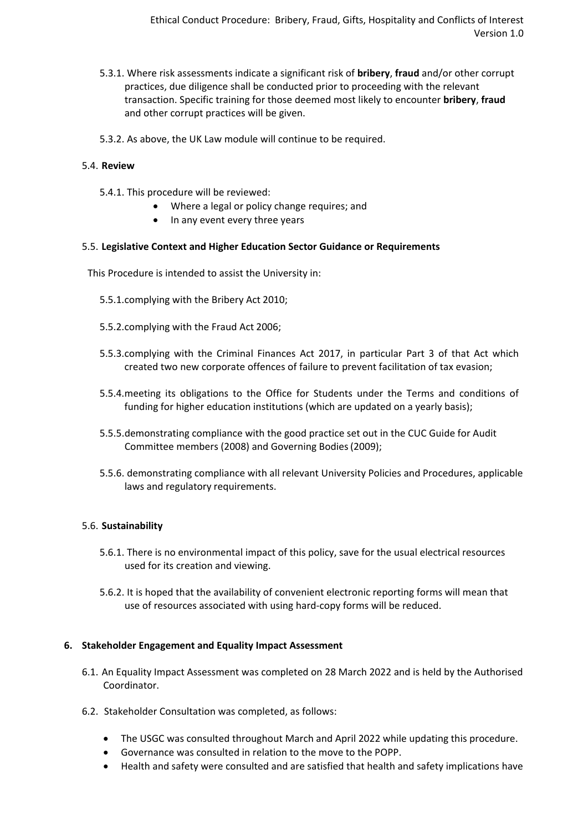- 5.3.1. Where risk assessments indicate a significant risk of **bribery**, **fraud** and/or other corrupt practices, due diligence shall be conducted prior to proceeding with the relevant transaction. Specific training for those deemed most likely to encounter **bribery**, **fraud**  and other corrupt practices will be given.
- 5.3.2. As above, the UK Law module will continue to be required.

# 5.4. **Review**

- 5.4.1. This procedure will be reviewed:
	- Where a legal or policy change requires; and
	- In any event every three years

## 5.5. **Legislative Context and Higher Education Sector Guidance or Requirements**

This Procedure is intended to assist the University in:

- 5.5.1.complying with the Bribery Act 2010;
- 5.5.2.complying with the Fraud Act 2006;
- 5.5.3.complying with the Criminal Finances Act 2017, in particular Part 3 of that Act which created two new corporate offences of failure to prevent facilitation of tax evasion;
- 5.5.4.meeting its obligations to the Office for Students under the Terms and conditions of funding for higher education institutions (which are updated on a yearly basis);
- 5.5.5.demonstrating compliance with the good practice set out in the CUC Guide for Audit Committee members (2008) and Governing Bodies(2009);
- 5.5.6. demonstrating compliance with all relevant University Policies and Procedures, applicable laws and regulatory requirements.

# 5.6. **Sustainability**

- 5.6.1. There is no environmental impact of this policy, save for the usual electrical resources used for its creation and viewing.
- 5.6.2. It is hoped that the availability of convenient electronic reporting forms will mean that use of resources associated with using hard-copy forms will be reduced.

## **6. Stakeholder Engagement and Equality Impact Assessment**

- 6.1. An Equality Impact Assessment was completed on 28 March 2022 and is held by the Authorised Coordinator.
- 6.2. Stakeholder Consultation was completed, as follows:
	- The USGC was consulted throughout March and April 2022 while updating this procedure.
	- Governance was consulted in relation to the move to the POPP.
	- Health and safety were consulted and are satisfied that health and safety implications have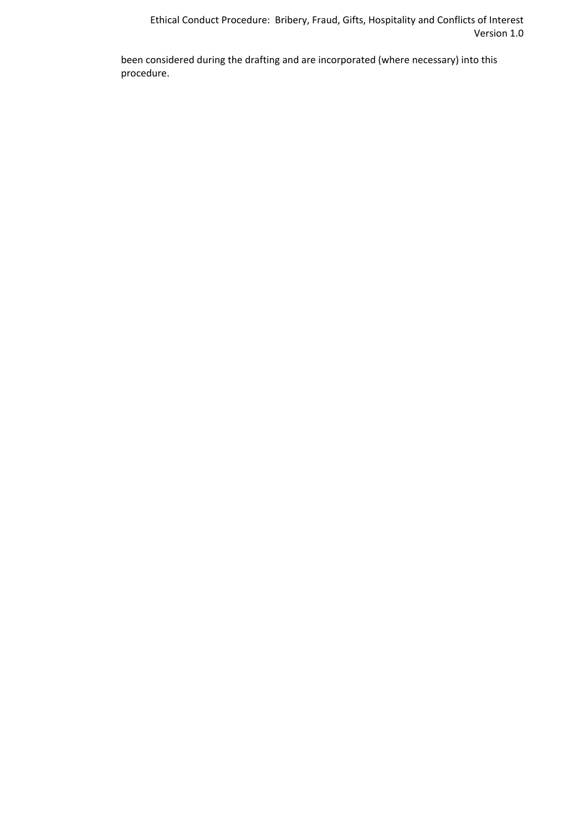Ethical Conduct Procedure: Bribery, Fraud, Gifts, Hospitality and Conflicts of Interest Version 1.0

been considered during the drafting and are incorporated (where necessary) into this procedure.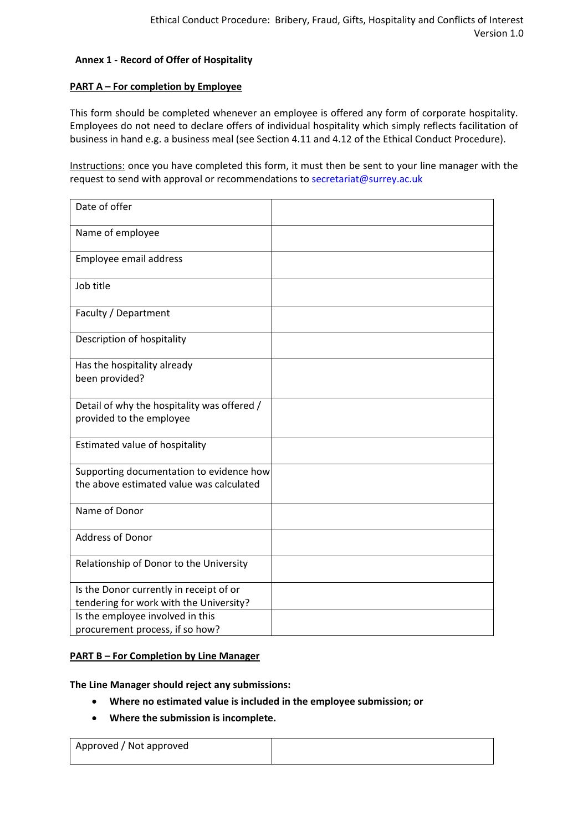## **Annex 1 - Record of Offer of Hospitality**

## **PART A – For completion by Employee**

This form should be completed whenever an employee is offered any form of corporate hospitality. Employees do not need to declare offers of individual hospitality which simply reflects facilitation of business in hand e.g. a business meal (see Section [4.11](#page-4-1) and [4.12](#page-5-2) of the Ethical Conduct Procedure).

Instructions: once you have completed this form, it must then be sent to your line manager with the request to send with approval or recommendations to [secretariat@surrey.ac.uk](mailto:secretariat@surrey.ac.uk)

| Date of offer                                                                        |  |
|--------------------------------------------------------------------------------------|--|
| Name of employee                                                                     |  |
| Employee email address                                                               |  |
| Job title                                                                            |  |
| Faculty / Department                                                                 |  |
| Description of hospitality                                                           |  |
| Has the hospitality already<br>been provided?                                        |  |
| Detail of why the hospitality was offered /<br>provided to the employee              |  |
| Estimated value of hospitality                                                       |  |
| Supporting documentation to evidence how<br>the above estimated value was calculated |  |
| Name of Donor                                                                        |  |
| <b>Address of Donor</b>                                                              |  |
| Relationship of Donor to the University                                              |  |
| Is the Donor currently in receipt of or<br>tendering for work with the University?   |  |
| Is the employee involved in this<br>procurement process, if so how?                  |  |

## **PART B – For Completion by Line Manager**

**The Line Manager should reject any submissions:** 

- **Where no estimated value is included in the employee submission; or**
- **Where the submission is incomplete.**

| Approved / Not approved |  |
|-------------------------|--|
|                         |  |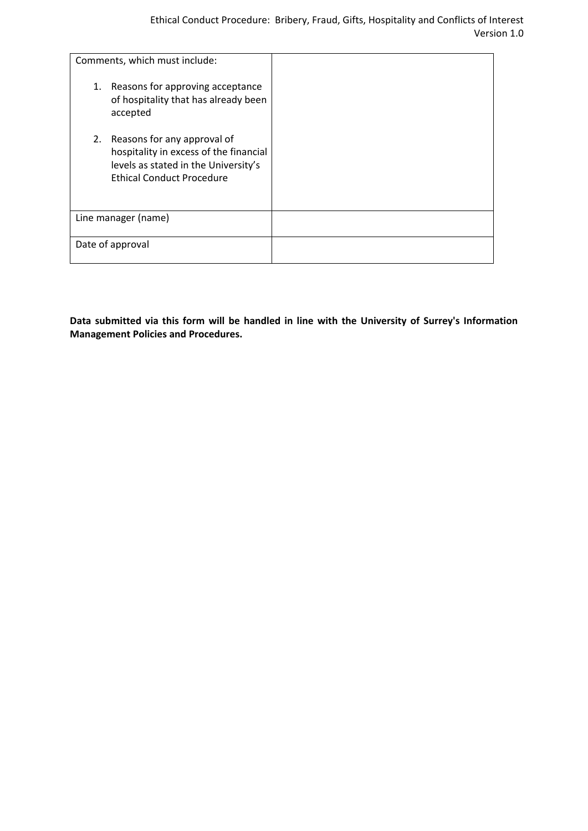| Comments, which must include:                                                                                                                        |  |
|------------------------------------------------------------------------------------------------------------------------------------------------------|--|
| 1. Reasons for approving acceptance<br>of hospitality that has already been<br>accepted                                                              |  |
| 2. Reasons for any approval of<br>hospitality in excess of the financial<br>levels as stated in the University's<br><b>Ethical Conduct Procedure</b> |  |
| Line manager (name)                                                                                                                                  |  |
| Date of approval                                                                                                                                     |  |

**Data submitted via this form will be handled in line with the University of Surrey's Information Management Policies and Procedures.**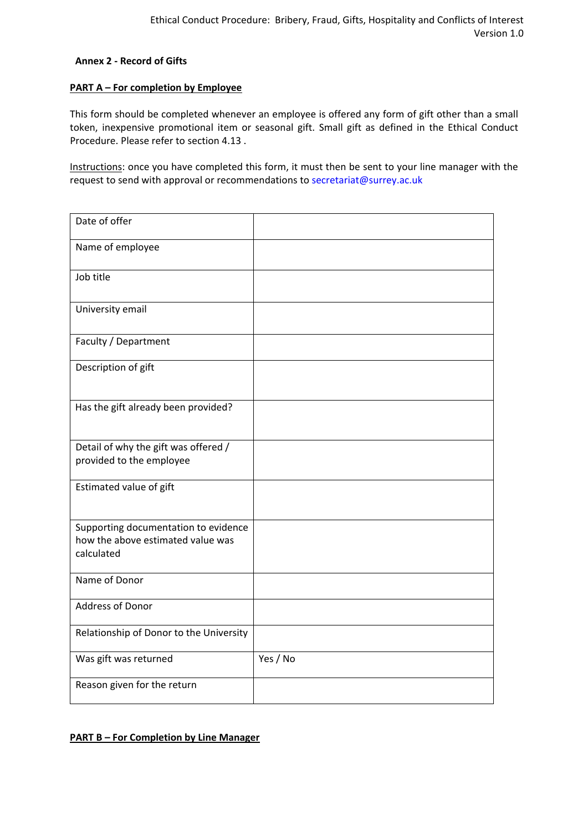## **Annex 2 - Record of Gifts**

## **PART A – For completion by Employee**

This form should be completed whenever an employee is offered any form of gift other than a small token, inexpensive promotional item or seasonal gift. Small gift as defined in the Ethical Conduct Procedure. Please refer to section [4.13 .](#page-5-0)

Instructions: once you have completed this form, it must then be sent to your line manager with the request to send with approval or recommendations to [secretariat@surrey.ac.uk](mailto:secretariat@surrey.ac.uk)

| Date of offer                                                                           |          |
|-----------------------------------------------------------------------------------------|----------|
| Name of employee                                                                        |          |
| Job title                                                                               |          |
| University email                                                                        |          |
| Faculty / Department                                                                    |          |
| Description of gift                                                                     |          |
| Has the gift already been provided?                                                     |          |
| Detail of why the gift was offered /<br>provided to the employee                        |          |
| Estimated value of gift                                                                 |          |
| Supporting documentation to evidence<br>how the above estimated value was<br>calculated |          |
| Name of Donor                                                                           |          |
| <b>Address of Donor</b>                                                                 |          |
| Relationship of Donor to the University                                                 |          |
| Was gift was returned                                                                   | Yes / No |
| Reason given for the return                                                             |          |

# **PART B – For Completion by Line Manager**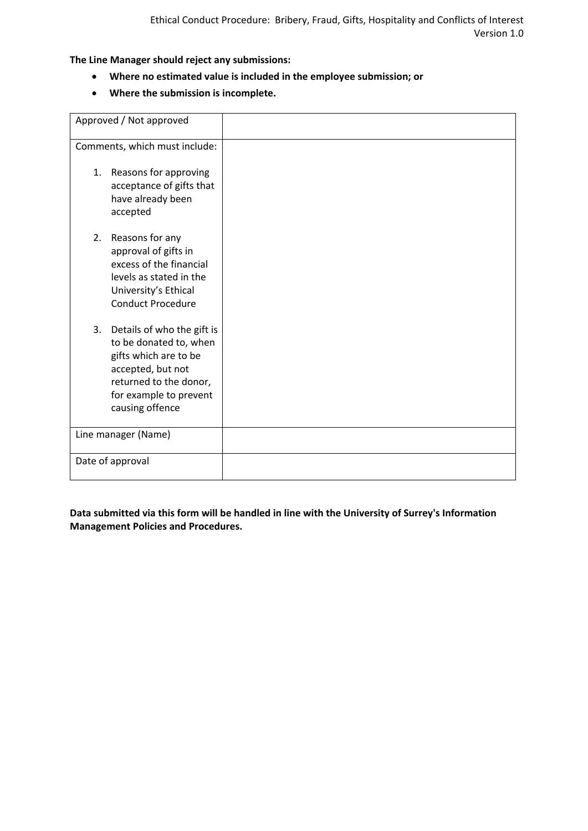**The Line Manager should reject any submissions:**

- **Where no estimated value is included in the employee submission; or**
- **Where the submission is incomplete.**

| Approved / Not approved                                                                                                                                                      |  |
|------------------------------------------------------------------------------------------------------------------------------------------------------------------------------|--|
| Comments, which must include:                                                                                                                                                |  |
| 1. Reasons for approving<br>acceptance of gifts that<br>have already been<br>accepted                                                                                        |  |
| Reasons for any<br>2.<br>approval of gifts in<br>excess of the financial<br>levels as stated in the<br>University's Ethical<br><b>Conduct Procedure</b>                      |  |
| 3. Details of who the gift is<br>to be donated to, when<br>gifts which are to be<br>accepted, but not<br>returned to the donor,<br>for example to prevent<br>causing offence |  |
| Line manager (Name)                                                                                                                                                          |  |
| Date of approval                                                                                                                                                             |  |

**Data submitted via this form will be handled in line with the University of Surrey's Information Management Policies and Procedures.**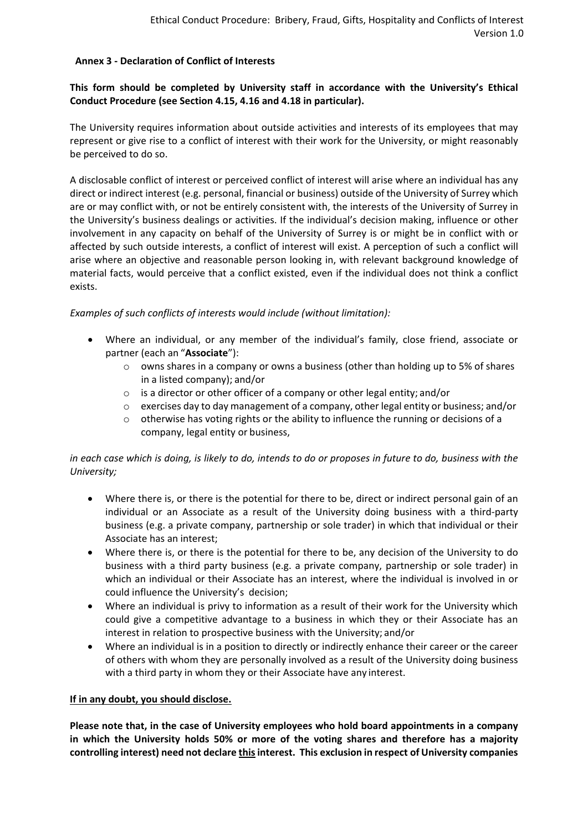# **Annex 3 - Declaration of Conflict of Interests**

# **This form should be completed by University staff in accordance with the University's Ethical Conduct Procedure (see Section [4.15,](#page-6-0) [4.16](#page-6-1) and [4.18](#page-7-0) in particular).**

The University requires information about outside activities and interests of its employees that may represent or give rise to a conflict of interest with their work for the University, or might reasonably be perceived to do so.

A disclosable conflict of interest or perceived conflict of interest will arise where an individual has any direct or indirect interest (e.g. personal, financial or business) outside of the University of Surrey which are or may conflict with, or not be entirely consistent with, the interests of the University of Surrey in the University's business dealings or activities. If the individual's decision making, influence or other involvement in any capacity on behalf of the University of Surrey is or might be in conflict with or affected by such outside interests, a conflict of interest will exist. A perception of such a conflict will arise where an objective and reasonable person looking in, with relevant background knowledge of material facts, would perceive that a conflict existed, even if the individual does not think a conflict exists.

# *Examples of such conflicts of interests would include (without limitation):*

- Where an individual, or any member of the individual's family, close friend, associate or partner (each an "**Associate**"):
	- $\circ$  owns shares in a company or owns a business (other than holding up to 5% of shares in a listed company); and/or
	- o is a director or other officer of a company or other legal entity; and/or
	- $\circ$  exercises day to day management of a company, other legal entity or business; and/or
	- $\circ$  otherwise has voting rights or the ability to influence the running or decisions of a company, legal entity or business,

*in each case which is doing, is likely to do, intends to do or proposes in future to do, business with the University;*

- Where there is, or there is the potential for there to be, direct or indirect personal gain of an individual or an Associate as a result of the University doing business with a third-party business (e.g. a private company, partnership or sole trader) in which that individual or their Associate has an interest;
- Where there is, or there is the potential for there to be, any decision of the University to do business with a third party business (e.g. a private company, partnership or sole trader) in which an individual or their Associate has an interest, where the individual is involved in or could influence the University's decision;
- Where an individual is privy to information as a result of their work for the University which could give a competitive advantage to a business in which they or their Associate has an interest in relation to prospective business with the University; and/or
- Where an individual is in a position to directly or indirectly enhance their career or the career of others with whom they are personally involved as a result of the University doing business with a third party in whom they or their Associate have any interest.

## **If in any doubt, you should disclose.**

**Please note that, in the case of University employees who hold board appointments in a company in which the University holds 50% or more of the voting shares and therefore has a majority controlling interest) need not declare thisinterest. This exclusion in respect of University companies**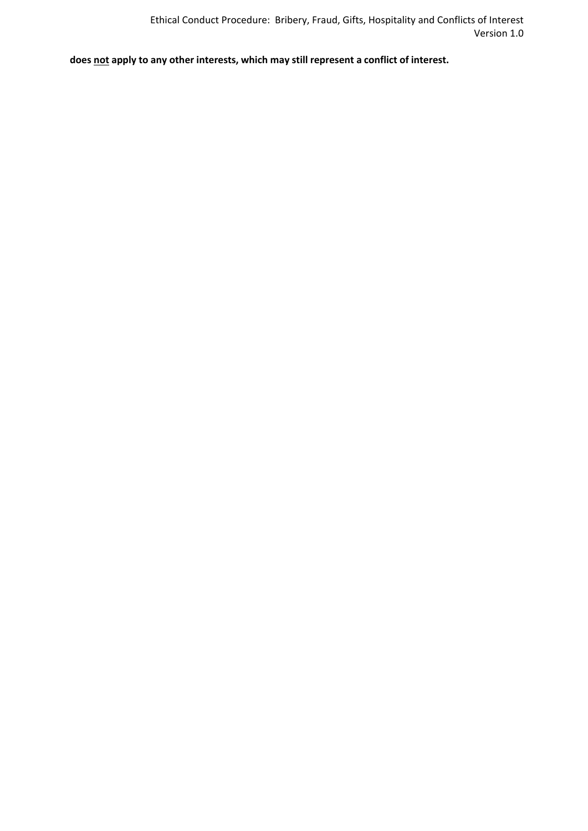**does not apply to any other interests, which may still represent a conflict of interest.**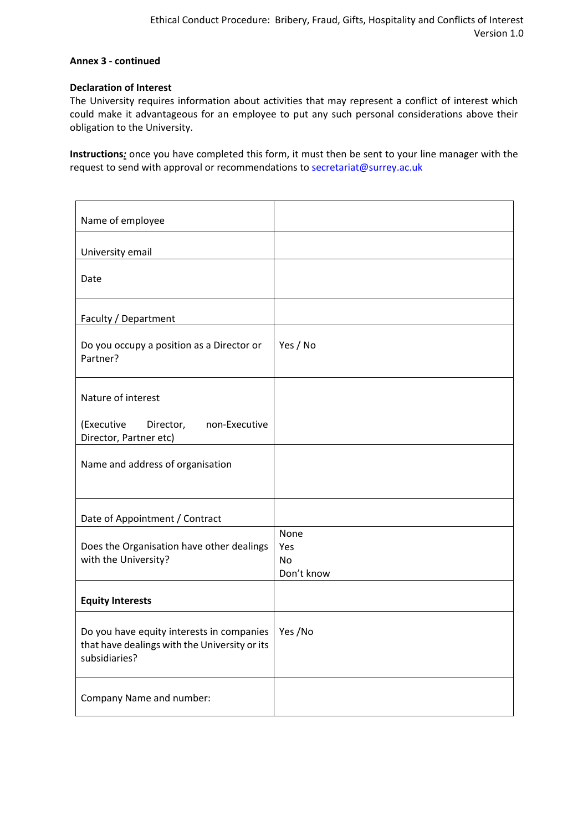# **Annex 3 - continued**

## **Declaration of Interest**

The University requires information about activities that may represent a conflict of interest which could make it advantageous for an employee to put any such personal considerations above their obligation to the University.

**Instructions***:* once you have completed this form, it must then be sent to your line manager with the request to send with approval or recommendations to [secretariat@surrey.ac.uk](mailto:secretariat@surrey.ac.uk)

| Name of employee                                                                                            |                                        |
|-------------------------------------------------------------------------------------------------------------|----------------------------------------|
| University email                                                                                            |                                        |
| Date                                                                                                        |                                        |
| Faculty / Department                                                                                        |                                        |
| Do you occupy a position as a Director or<br>Partner?                                                       | Yes / No                               |
| Nature of interest                                                                                          |                                        |
| (Executive<br>Director, non-Executive<br>Director, Partner etc)                                             |                                        |
| Name and address of organisation                                                                            |                                        |
| Date of Appointment / Contract                                                                              |                                        |
| Does the Organisation have other dealings<br>with the University?                                           | None<br>Yes<br><b>No</b><br>Don't know |
| <b>Equity Interests</b>                                                                                     |                                        |
| Do you have equity interests in companies<br>that have dealings with the University or its<br>subsidiaries? | Yes /No                                |
| Company Name and number:                                                                                    |                                        |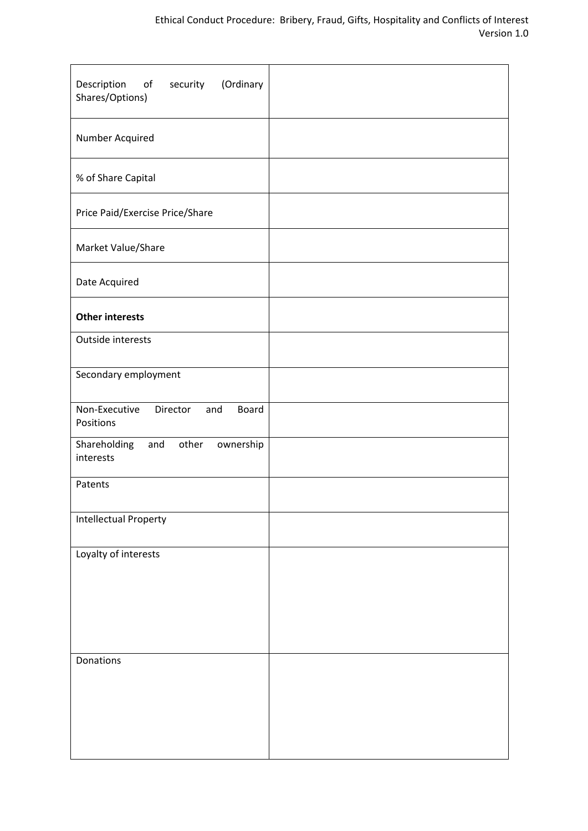| Description<br>of security<br>(Ordinary<br>Shares/Options) |  |
|------------------------------------------------------------|--|
| Number Acquired                                            |  |
| % of Share Capital                                         |  |
| Price Paid/Exercise Price/Share                            |  |
| Market Value/Share                                         |  |
| Date Acquired                                              |  |
| <b>Other interests</b>                                     |  |
| Outside interests                                          |  |
| Secondary employment                                       |  |
| Non-Executive<br>Director<br>Board<br>and<br>Positions     |  |
| Shareholding<br>and<br>other<br>ownership<br>interests     |  |
| Patents                                                    |  |
| <b>Intellectual Property</b>                               |  |
| Loyalty of interests                                       |  |
|                                                            |  |
|                                                            |  |
| Donations                                                  |  |
|                                                            |  |
|                                                            |  |
|                                                            |  |